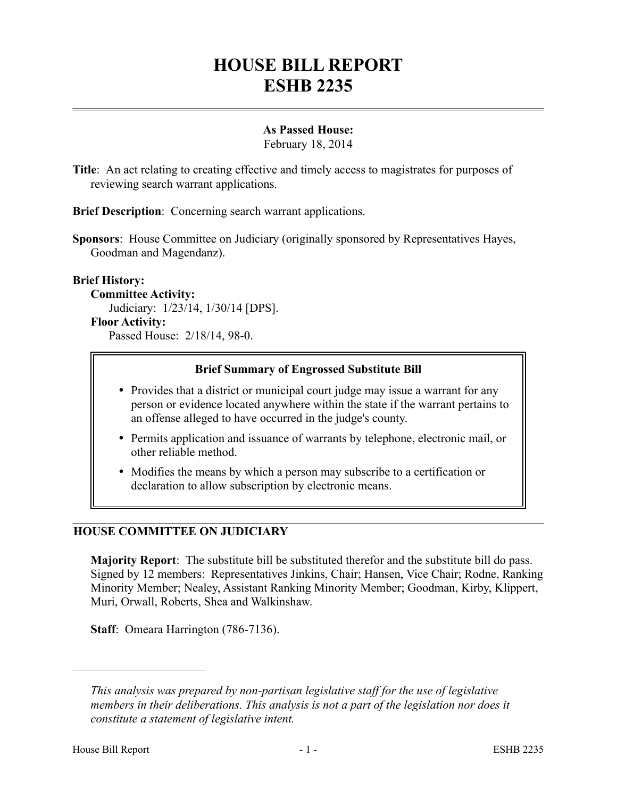# **HOUSE BILL REPORT ESHB 2235**

# **As Passed House:**

February 18, 2014

**Title**: An act relating to creating effective and timely access to magistrates for purposes of reviewing search warrant applications.

**Brief Description**: Concerning search warrant applications.

**Sponsors**: House Committee on Judiciary (originally sponsored by Representatives Hayes, Goodman and Magendanz).

## **Brief History:**

**Committee Activity:**

Judiciary: 1/23/14, 1/30/14 [DPS].

#### **Floor Activity:**

Passed House: 2/18/14, 98-0.

## **Brief Summary of Engrossed Substitute Bill**

- Provides that a district or municipal court judge may issue a warrant for any person or evidence located anywhere within the state if the warrant pertains to an offense alleged to have occurred in the judge's county.
- Permits application and issuance of warrants by telephone, electronic mail, or other reliable method.
- Modifies the means by which a person may subscribe to a certification or declaration to allow subscription by electronic means.

# **HOUSE COMMITTEE ON JUDICIARY**

**Majority Report**: The substitute bill be substituted therefor and the substitute bill do pass. Signed by 12 members: Representatives Jinkins, Chair; Hansen, Vice Chair; Rodne, Ranking Minority Member; Nealey, Assistant Ranking Minority Member; Goodman, Kirby, Klippert, Muri, Orwall, Roberts, Shea and Walkinshaw.

**Staff**: Omeara Harrington (786-7136).

––––––––––––––––––––––

*This analysis was prepared by non-partisan legislative staff for the use of legislative members in their deliberations. This analysis is not a part of the legislation nor does it constitute a statement of legislative intent.*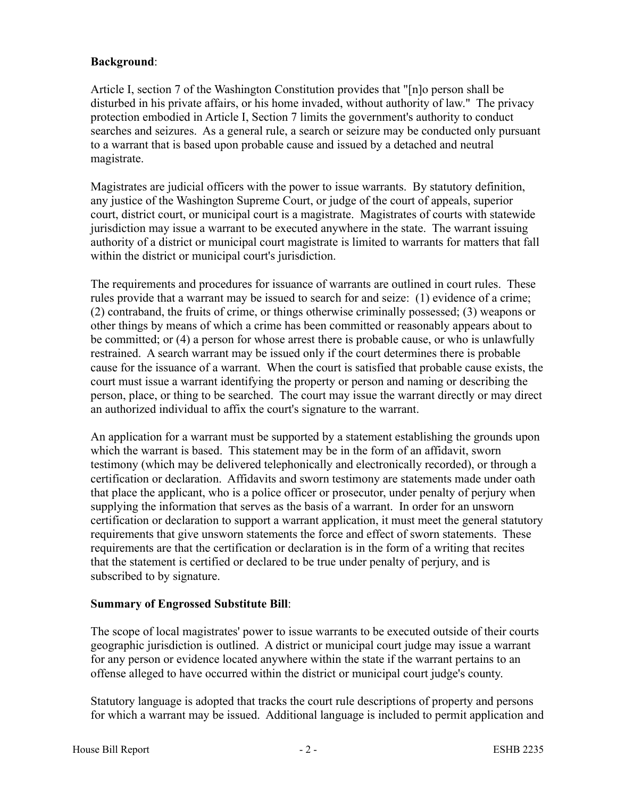# **Background**:

Article I, section 7 of the Washington Constitution provides that "[n]o person shall be disturbed in his private affairs, or his home invaded, without authority of law." The privacy protection embodied in Article I, Section 7 limits the government's authority to conduct searches and seizures. As a general rule, a search or seizure may be conducted only pursuant to a warrant that is based upon probable cause and issued by a detached and neutral magistrate.

Magistrates are judicial officers with the power to issue warrants. By statutory definition, any justice of the Washington Supreme Court, or judge of the court of appeals, superior court, district court, or municipal court is a magistrate. Magistrates of courts with statewide jurisdiction may issue a warrant to be executed anywhere in the state. The warrant issuing authority of a district or municipal court magistrate is limited to warrants for matters that fall within the district or municipal court's jurisdiction.

The requirements and procedures for issuance of warrants are outlined in court rules. These rules provide that a warrant may be issued to search for and seize: (1) evidence of a crime; (2) contraband, the fruits of crime, or things otherwise criminally possessed; (3) weapons or other things by means of which a crime has been committed or reasonably appears about to be committed; or (4) a person for whose arrest there is probable cause, or who is unlawfully restrained. A search warrant may be issued only if the court determines there is probable cause for the issuance of a warrant. When the court is satisfied that probable cause exists, the court must issue a warrant identifying the property or person and naming or describing the person, place, or thing to be searched. The court may issue the warrant directly or may direct an authorized individual to affix the court's signature to the warrant.

An application for a warrant must be supported by a statement establishing the grounds upon which the warrant is based. This statement may be in the form of an affidavit, sworn testimony (which may be delivered telephonically and electronically recorded), or through a certification or declaration. Affidavits and sworn testimony are statements made under oath that place the applicant, who is a police officer or prosecutor, under penalty of perjury when supplying the information that serves as the basis of a warrant. In order for an unsworn certification or declaration to support a warrant application, it must meet the general statutory requirements that give unsworn statements the force and effect of sworn statements. These requirements are that the certification or declaration is in the form of a writing that recites that the statement is certified or declared to be true under penalty of perjury, and is subscribed to by signature.

# **Summary of Engrossed Substitute Bill**:

The scope of local magistrates' power to issue warrants to be executed outside of their courts geographic jurisdiction is outlined. A district or municipal court judge may issue a warrant for any person or evidence located anywhere within the state if the warrant pertains to an offense alleged to have occurred within the district or municipal court judge's county.

Statutory language is adopted that tracks the court rule descriptions of property and persons for which a warrant may be issued. Additional language is included to permit application and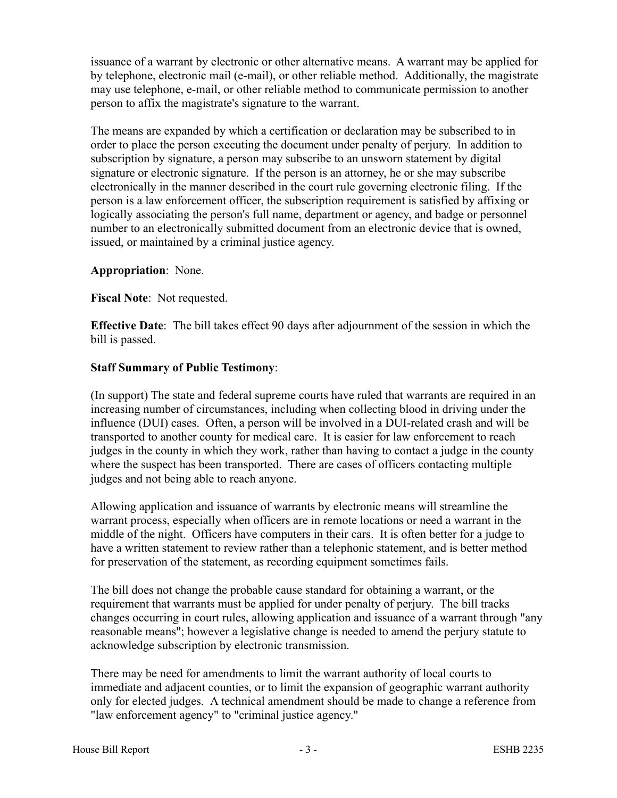issuance of a warrant by electronic or other alternative means. A warrant may be applied for by telephone, electronic mail (e-mail), or other reliable method. Additionally, the magistrate may use telephone, e-mail, or other reliable method to communicate permission to another person to affix the magistrate's signature to the warrant.

The means are expanded by which a certification or declaration may be subscribed to in order to place the person executing the document under penalty of perjury. In addition to subscription by signature, a person may subscribe to an unsworn statement by digital signature or electronic signature. If the person is an attorney, he or she may subscribe electronically in the manner described in the court rule governing electronic filing. If the person is a law enforcement officer, the subscription requirement is satisfied by affixing or logically associating the person's full name, department or agency, and badge or personnel number to an electronically submitted document from an electronic device that is owned, issued, or maintained by a criminal justice agency.

## **Appropriation**: None.

**Fiscal Note**: Not requested.

**Effective Date**: The bill takes effect 90 days after adjournment of the session in which the bill is passed.

## **Staff Summary of Public Testimony**:

(In support) The state and federal supreme courts have ruled that warrants are required in an increasing number of circumstances, including when collecting blood in driving under the influence (DUI) cases. Often, a person will be involved in a DUI-related crash and will be transported to another county for medical care. It is easier for law enforcement to reach judges in the county in which they work, rather than having to contact a judge in the county where the suspect has been transported. There are cases of officers contacting multiple judges and not being able to reach anyone.

Allowing application and issuance of warrants by electronic means will streamline the warrant process, especially when officers are in remote locations or need a warrant in the middle of the night. Officers have computers in their cars. It is often better for a judge to have a written statement to review rather than a telephonic statement, and is better method for preservation of the statement, as recording equipment sometimes fails.

The bill does not change the probable cause standard for obtaining a warrant, or the requirement that warrants must be applied for under penalty of perjury. The bill tracks changes occurring in court rules, allowing application and issuance of a warrant through "any reasonable means"; however a legislative change is needed to amend the perjury statute to acknowledge subscription by electronic transmission.

There may be need for amendments to limit the warrant authority of local courts to immediate and adjacent counties, or to limit the expansion of geographic warrant authority only for elected judges. A technical amendment should be made to change a reference from "law enforcement agency" to "criminal justice agency."